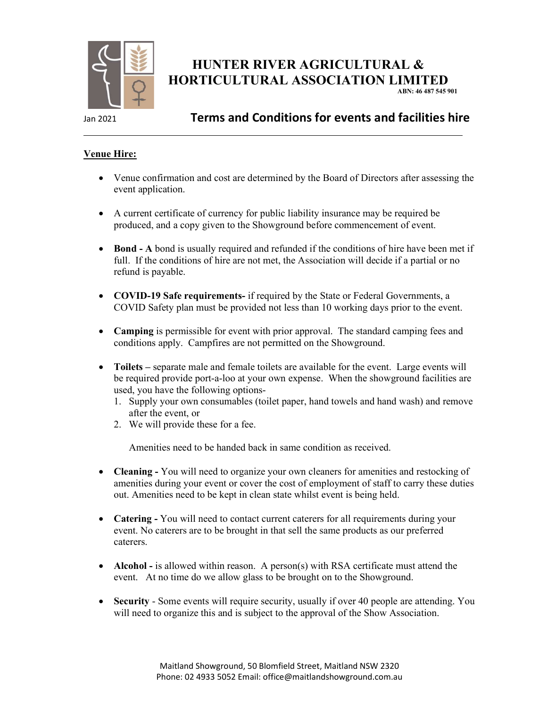

# HUNTER RIVER AGRICULTURAL & HORTICULTURAL ASSOCIATION LIMITED

ABN: 46 487 545 901

### Jan 2021 Terms and Conditions for events and facilities hire

#### Venue Hire:

- Venue confirmation and cost are determined by the Board of Directors after assessing the event application.
- A current certificate of currency for public liability insurance may be required be produced, and a copy given to the Showground before commencement of event.
- Bond A bond is usually required and refunded if the conditions of hire have been met if full. If the conditions of hire are not met, the Association will decide if a partial or no refund is payable.
- COVID-19 Safe requirements- if required by the State or Federal Governments, a COVID Safety plan must be provided not less than 10 working days prior to the event.
- Camping is permissible for event with prior approval. The standard camping fees and conditions apply. Campfires are not permitted on the Showground.
- Toilets separate male and female toilets are available for the event. Large events will be required provide port-a-loo at your own expense. When the showground facilities are used, you have the following options-
	- 1. Supply your own consumables (toilet paper, hand towels and hand wash) and remove after the event, or
	- 2. We will provide these for a fee.

Amenities need to be handed back in same condition as received.

- Cleaning You will need to organize your own cleaners for amenities and restocking of amenities during your event or cover the cost of employment of staff to carry these duties out. Amenities need to be kept in clean state whilst event is being held.
- Catering You will need to contact current caterers for all requirements during your event. No caterers are to be brought in that sell the same products as our preferred caterers.
- Alcohol is allowed within reason. A person(s) with RSA certificate must attend the event. At no time do we allow glass to be brought on to the Showground.
- Security Some events will require security, usually if over 40 people are attending. You will need to organize this and is subject to the approval of the Show Association.